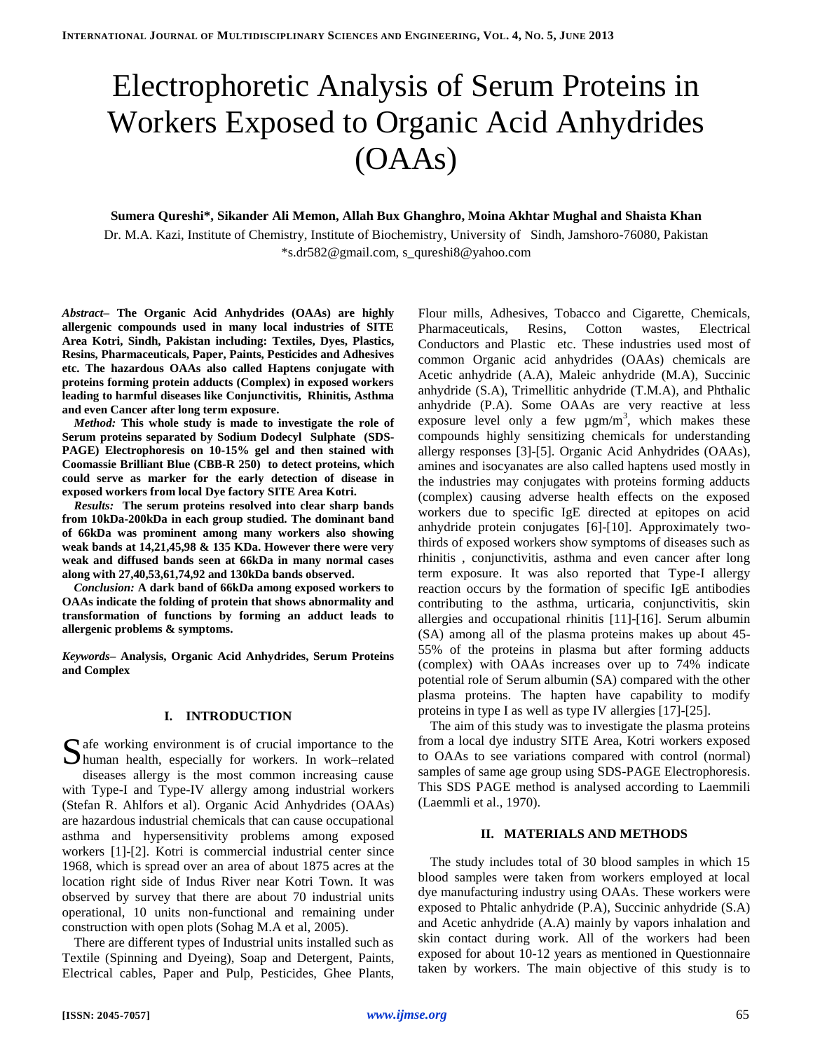# Electrophoretic Analysis of Serum Proteins in Workers Exposed to Organic Acid Anhydrides (OAAs)

## **Sumera Qureshi\*, Sikander Ali Memon, Allah Bux Ghanghro, Moina Akhtar Mughal and Shaista Khan**

Dr. M.A. Kazi, Institute of Chemistry, Institute of Biochemistry, University of Sindh, Jamshoro-76080, Pakistan \*s.dr582@gmail.com, s\_qureshi8@yahoo.com

*Abstract–* **The Organic Acid Anhydrides (OAAs) are highly allergenic compounds used in many local industries of SITE Area Kotri, Sindh, Pakistan including: Textiles, Dyes, Plastics, Resins, Pharmaceuticals, Paper, Paints, Pesticides and Adhesives etc. The hazardous OAAs also called Haptens conjugate with proteins forming protein adducts (Complex) in exposed workers leading to harmful diseases like Conjunctivitis, Rhinitis, Asthma and even Cancer after long term exposure.**

*Method:* **This whole study is made to investigate the role of Serum proteins separated by Sodium Dodecyl Sulphate (SDS-PAGE) Electrophoresis on 10-15% gel and then stained with Coomassie Brilliant Blue (CBB-R 250) to detect proteins, which could serve as marker for the early detection of disease in exposed workers from local Dye factory SITE Area Kotri.**

*Results:* **The serum proteins resolved into clear sharp bands from 10kDa-200kDa in each group studied. The dominant band of 66kDa was prominent among many workers also showing weak bands at 14,21,45,98 & 135 KDa. However there were very weak and diffused bands seen at 66kDa in many normal cases along with 27,40,53,61,74,92 and 130kDa bands observed.** 

*Conclusion:* **A dark band of 66kDa among exposed workers to OAAs indicate the folding of protein that shows abnormality and transformation of functions by forming an adduct leads to allergenic problems & symptoms.**

*Keywords–* **Analysis, Organic Acid Anhydrides, Serum Proteins and Complex**

# **I. INTRODUCTION**

 $\Gamma$  afe working environment is of crucial importance to the Safe working environment is of crucial importance to the human health, especially for workers. In work–related diseases allergy is the most common increasing cause with Type-I and Type-IV allergy among industrial workers (Stefan R. Ahlfors et al). Organic Acid Anhydrides (OAAs) are hazardous industrial chemicals that can cause occupational asthma and hypersensitivity problems among exposed workers [1]-[2]. Kotri is commercial industrial center since 1968, which is spread over an area of about 1875 acres at the location right side of Indus River near Kotri Town. It was observed by survey that there are about 70 industrial units operational, 10 units non-functional and remaining under construction with open plots (Sohag M.A et al, 2005).

There are different types of Industrial units installed such as Textile (Spinning and Dyeing), Soap and Detergent, Paints, Electrical cables, Paper and Pulp, Pesticides, Ghee Plants, Flour mills, Adhesives, Tobacco and Cigarette, Chemicals, Pharmaceuticals, Resins, Cotton wastes, Electrical Conductors and Plastic etc. These industries used most of common Organic acid anhydrides (OAAs) chemicals are Acetic anhydride (A.A), Maleic anhydride (M.A), Succinic anhydride (S.A), Trimellitic anhydride (T.M.A), and Phthalic anhydride (P.A). Some OAAs are very reactive at less exposure level only a few  $\mu$ gm/m<sup>3</sup>, which makes these compounds highly sensitizing chemicals for understanding allergy responses [3]-[5]. Organic Acid Anhydrides (OAAs), amines and isocyanates are also called haptens used mostly in the industries may conjugates with proteins forming adducts (complex) causing adverse health effects on the exposed workers due to specific IgE directed at epitopes on acid anhydride protein conjugates [6]-[10]. Approximately twothirds of exposed workers show symptoms of diseases such as rhinitis , conjunctivitis, asthma and even cancer after long term exposure. It was also reported that Type-I allergy reaction occurs by the formation of specific IgE antibodies contributing to the asthma, urticaria, conjunctivitis, skin allergies and occupational rhinitis [11]-[16]. Serum albumin (SA) among all of the plasma proteins makes up about 45- 55% of the proteins in plasma but after forming adducts (complex) with OAAs increases over up to 74% indicate potential role of Serum albumin (SA) compared with the other plasma proteins. The hapten have capability to modify proteins in type I as well as type IV allergies [17]-[25].

The aim of this study was to investigate the plasma proteins from a local dye industry SITE Area, Kotri workers exposed to OAAs to see variations compared with control (normal) samples of same age group using SDS-PAGE Electrophoresis. This SDS PAGE method is analysed according to Laemmili (Laemmli et al., 1970).

#### **II. MATERIALS AND METHODS**

The study includes total of 30 blood samples in which 15 blood samples were taken from workers employed at local dye manufacturing industry using OAAs. These workers were exposed to Phtalic anhydride (P.A), Succinic anhydride (S.A) and Acetic anhydride (A.A) mainly by vapors inhalation and skin contact during work. All of the workers had been exposed for about 10-12 years as mentioned in Questionnaire taken by workers. The main objective of this study is to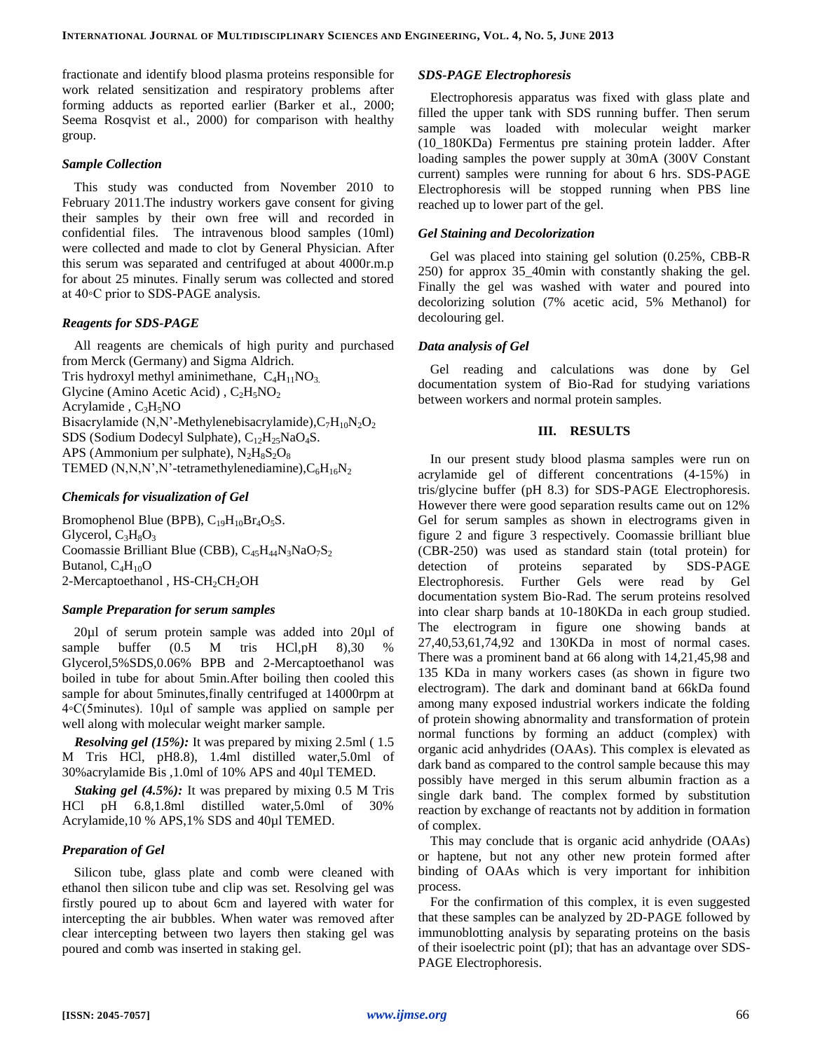fractionate and identify blood plasma proteins responsible for work related sensitization and respiratory problems after forming adducts as reported earlier (Barker et al., 2000; Seema Rosqvist et al., 2000) for comparison with healthy group.

#### *Sample Collection*

This study was conducted from November 2010 to February 2011.The industry workers gave consent for giving their samples by their own free will and recorded in confidential files. The intravenous blood samples (10ml) were collected and made to clot by General Physician. After this serum was separated and centrifuged at about 4000r.m.p for about 25 minutes. Finally serum was collected and stored at 40◦C prior to SDS-PAGE analysis.

## *Reagents for SDS-PAGE*

All reagents are chemicals of high purity and purchased from Merck (Germany) and Sigma Aldrich. Tris hydroxyl methyl aminimethane,  $C_4H_{11}NO_3$ . Glycine (Amino Acetic Acid),  $C_2H_5NO_2$ Acrylamide,  $C_3H_5NO$ Bisacrylamide (N,N'-Methylenebisacrylamide), $C_7H_{10}N_2O_2$ SDS (Sodium Dodecyl Sulphate),  $C_{12}H_{25}NaO_4S$ . APS (Ammonium per sulphate),  $N_2H_8S_2O_8$ TEMED (N,N,N',N'-tetramethylenediamine), $C_6H_{16}N_2$ 

## *Chemicals for visualization of Gel*

Bromophenol Blue (BPB),  $C_{19}H_{10}Br_4O_5S$ . Glycerol,  $C_3H_8O_3$ Coomassie Brilliant Blue (CBB),  $C_{45}H_{44}N_3NaO_7S_2$ Butanol,  $C_4H_{10}O$ 2-Mercaptoethanol, HS-CH<sub>2</sub>CH<sub>2</sub>OH

## *Sample Preparation for serum samples*

20µl of serum protein sample was added into 20µl of sample buffer (0.5 M tris HCl, pH 8), 30 % Glycerol,5%SDS,0.06% BPB and 2-Mercaptoethanol was boiled in tube for about 5min.After boiling then cooled this sample for about 5minutes,finally centrifuged at 14000rpm at 4◦C(5minutes). 10µl of sample was applied on sample per well along with molecular weight marker sample.

*Resolving gel (15%):* It was prepared by mixing 2.5ml ( 1.5 M Tris HCl, pH8.8), 1.4ml distilled water,5.0ml of 30%acrylamide Bis ,1.0ml of 10% APS and 40µl TEMED.

*Staking gel (4.5%):* It was prepared by mixing 0.5 M Tris HCl pH 6.8,1.8ml distilled water,5.0ml of 30% Acrylamide,10 % APS,1% SDS and 40µl TEMED.

# *Preparation of Gel*

Silicon tube, glass plate and comb were cleaned with ethanol then silicon tube and clip was set. Resolving gel was firstly poured up to about 6cm and layered with water for intercepting the air bubbles. When water was removed after clear intercepting between two layers then staking gel was poured and comb was inserted in staking gel.

#### *SDS-PAGE Electrophoresis*

Electrophoresis apparatus was fixed with glass plate and filled the upper tank with SDS running buffer. Then serum sample was loaded with molecular weight marker (10\_180KDa) Fermentus pre staining protein ladder. After loading samples the power supply at 30mA (300V Constant current) samples were running for about 6 hrs. SDS-PAGE Electrophoresis will be stopped running when PBS line reached up to lower part of the gel.

#### *Gel Staining and Decolorization*

Gel was placed into staining gel solution (0.25%, CBB-R 250) for approx 35\_40min with constantly shaking the gel. Finally the gel was washed with water and poured into decolorizing solution (7% acetic acid, 5% Methanol) for decolouring gel.

#### *Data analysis of Gel*

Gel reading and calculations was done by Gel documentation system of Bio-Rad for studying variations between workers and normal protein samples.

# **III. RESULTS**

In our present study blood plasma samples were run on acrylamide gel of different concentrations (4-15%) in tris/glycine buffer (pH 8.3) for SDS-PAGE Electrophoresis. However there were good separation results came out on 12% Gel for serum samples as shown in electrograms given in figure 2 and figure 3 respectively. Coomassie brilliant blue (CBR-250) was used as standard stain (total protein) for detection of proteins separated by SDS-PAGE Electrophoresis. Further Gels were read by Gel documentation system Bio-Rad. The serum proteins resolved into clear sharp bands at 10-180KDa in each group studied. The electrogram in figure one showing bands at 27,40,53,61,74,92 and 130KDa in most of normal cases. There was a prominent band at 66 along with 14,21,45,98 and 135 KDa in many workers cases (as shown in figure two electrogram). The dark and dominant band at 66kDa found among many exposed industrial workers indicate the folding of protein showing abnormality and transformation of protein normal functions by forming an adduct (complex) with organic acid anhydrides (OAAs). This complex is elevated as dark band as compared to the control sample because this may possibly have merged in this serum albumin fraction as a single dark band. The complex formed by substitution reaction by exchange of reactants not by addition in formation of complex.

This may conclude that is organic acid anhydride (OAAs) or haptene, but not any other new protein formed after binding of OAAs which is very important for inhibition process.

For the confirmation of this complex, it is even suggested that these samples can be analyzed by 2D-PAGE followed by immunoblotting analysis by separating proteins on the basis of their isoelectric point (pI); that has an advantage over SDS-PAGE Electrophoresis.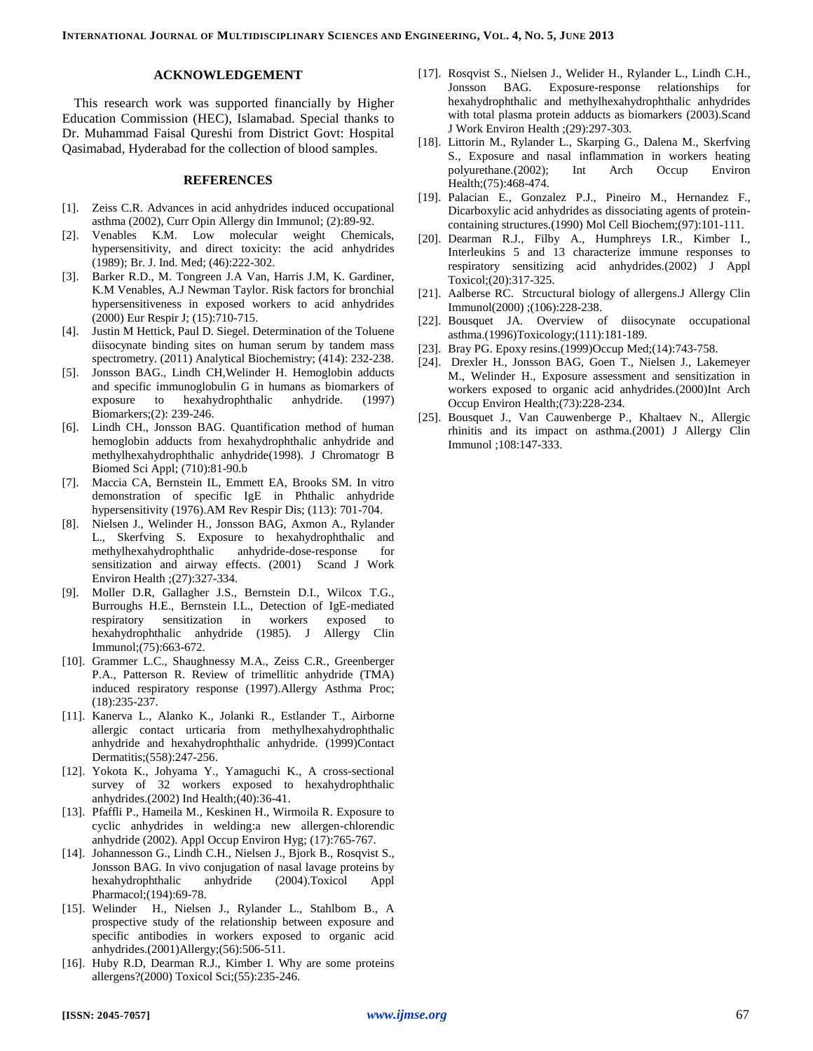# **ACKNOWLEDGEMENT**

This research work was supported financially by Higher Education Commission (HEC), Islamabad. Special thanks to Dr. Muhammad Faisal Qureshi from District Govt: Hospital Qasimabad, Hyderabad for the collection of blood samples.

#### **REFERENCES**

- [1]. Zeiss C.R. Advances in acid anhydrides induced occupational asthma (2002), Curr Opin Allergy din Immunol; (2):89-92.
- [2]. Venables K.M. Low molecular weight Chemicals, hypersensitivity, and direct toxicity: the acid anhydrides (1989); Br. J. Ind. Med; (46):222-302.
- [3]. Barker R.D., M. Tongreen J.A Van, Harris J.M, K. Gardiner, K.M Venables, A.J Newman Taylor. Risk factors for bronchial hypersensitiveness in exposed workers to acid anhydrides (2000) Eur Respir J; (15):710-715.
- [4]. Justin M Hettick, Paul D. Siegel. Determination of the Toluene diisocynate binding sites on human serum by tandem mass spectrometry. (2011) Analytical Biochemistry; (414): 232-238.
- [5]. Jonsson BAG., Lindh CH,Welinder H. Hemoglobin adducts and specific immunoglobulin G in humans as biomarkers of exposure to hexahydrophthalic anhydride. (1997) Biomarkers;(2): 239-246.
- [6]. Lindh CH., Jonsson BAG. Quantification method of human hemoglobin adducts from hexahydrophthalic anhydride and methylhexahydrophthalic anhydride(1998). J Chromatogr B Biomed Sci Appl; (710):81-90.b
- [7]. Maccia CA, Bernstein IL, Emmett EA, Brooks SM. In vitro demonstration of specific IgE in Phthalic anhydride hypersensitivity (1976).AM Rev Respir Dis; (113): 701-704.
- [8]. Nielsen J., Welinder H., Jonsson BAG, Axmon A., Rylander L., Skerfving S. Exposure to hexahydrophthalic and methylhexahydrophthalic anhydride-dose-response for sensitization and airway effects. (2001) Scand J Work Environ Health ;(27):327-334.
- [9]. Moller D.R, Gallagher J.S., Bernstein D.I., Wilcox T.G., Burroughs H.E., Bernstein I.L., Detection of IgE-mediated respiratory sensitization in workers exposed to hexahydrophthalic anhydride (1985). J Allergy Clin Immunol;(75):663-672.
- [10]. Grammer L.C., Shaughnessy M.A., Zeiss C.R., Greenberger P.A., Patterson R. Review of trimellitic anhydride (TMA) induced respiratory response (1997).Allergy Asthma Proc; (18):235-237.
- [11]. Kanerva L., Alanko K., Jolanki R., Estlander T., Airborne allergic contact urticaria from methylhexahydrophthalic anhydride and hexahydrophthalic anhydride. (1999)Contact Dermatitis;(558):247-256.
- [12]. Yokota K., Johyama Y., Yamaguchi K., A cross-sectional survey of 32 workers exposed to hexahydrophthalic anhydrides.(2002) Ind Health;(40):36-41.
- [13]. Pfaffli P., Hameila M., Keskinen H., Wirmoila R. Exposure to cyclic anhydrides in welding:a new allergen-chlorendic anhydride (2002). Appl Occup Environ Hyg; (17):765-767.
- [14]. Johannesson G., Lindh C.H., Nielsen J., Bjork B., Rosqvist S., Jonsson BAG. In vivo conjugation of nasal lavage proteins by hexahydrophthalic anhydride (2004).Toxicol Appl Pharmacol;(194):69-78.
- [15]. Welinder H., Nielsen J., Rylander L., Stahlbom B., A prospective study of the relationship between exposure and specific antibodies in workers exposed to organic acid anhydrides.(2001)Allergy;(56):506-511.
- [16]. Huby R.D, Dearman R.J., Kimber I. Why are some proteins allergens?(2000) Toxicol Sci;(55):235-246.
- [17]. Rosqvist S., Nielsen J., Welider H., Rylander L., Lindh C.H., Jonsson BAG. Exposure-response relationships for hexahydrophthalic and methylhexahydrophthalic anhydrides with total plasma protein adducts as biomarkers (2003).Scand J Work Environ Health ;(29):297-303.
- [18]. Littorin M., Rylander L., Skarping G., Dalena M., Skerfving S., Exposure and nasal inflammation in workers heating polyurethane.(2002); Int Arch Occup Environ Health;(75):468-474.
- [19]. Palacian E., Gonzalez P.J., Pineiro M., Hernandez F., Dicarboxylic acid anhydrides as dissociating agents of proteincontaining structures.(1990) Mol Cell Biochem;(97):101-111.
- [20]. Dearman R.J., Filby A., Humphreys I.R., Kimber I., Interleukins 5 and 13 characterize immune responses to respiratory sensitizing acid anhydrides.(2002) J Appl Toxicol;(20):317-325.
- [21]. Aalberse RC. Strcuctural biology of allergens.J Allergy Clin Immunol(2000) ;(106):228-238.
- [22]. Bousquet JA. Overview of diisocynate occupational asthma.(1996)Toxicology;(111):181-189.
- [23]. Bray PG. Epoxy resins.(1999)Occup Med;(14):743-758.
- [24]. Drexler H., Jonsson BAG, Goen T., Nielsen J., Lakemeyer M., Welinder H., Exposure assessment and sensitization in workers exposed to organic acid anhydrides.(2000)Int Arch Occup Environ Health;(73):228-234.
- [25]. Bousquet J., Van Cauwenberge P., Khaltaev N., Allergic rhinitis and its impact on asthma.(2001) J Allergy Clin Immunol ;108:147-333.